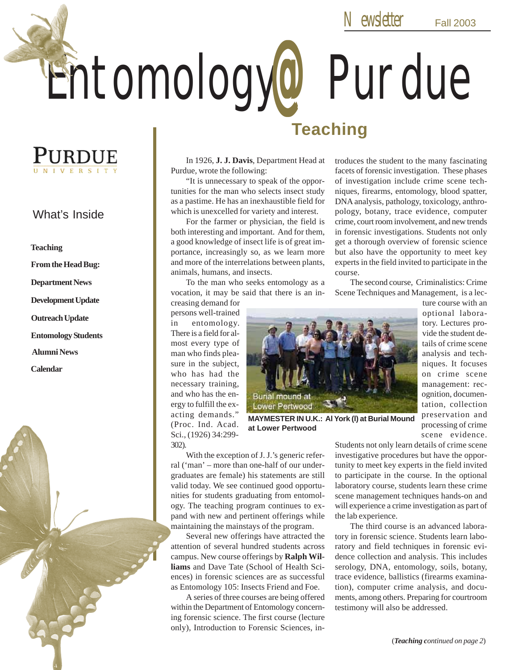Entomology@ Purdue

## PURDUE

### What's Inside

**Teaching**

**From the Head Bug:**

**Department News**

**Development Update**

**Outreach Update**

**Entomology Students**

**Alumni News**

**Calendar**

In 1926, **J. J. Davis**, Department Head at Purdue, wrote the following:

"It is unnecessary to speak of the opportunities for the man who selects insect study as a pastime. He has an inexhaustible field for which is unexcelled for variety and interest.

For the farmer or physician, the field is both interesting and important. And for them, a good knowledge of insect life is of great importance, increasingly so, as we learn more and more of the interrelations between plants, animals, humans, and insects.

To the man who seeks entomology as a vocation, it may be said that there is an in-

creasing demand for persons well-trained in entomology. There is a field for almost every type of man who finds pleasure in the subject, who has had the necessary training, and who has the energy to fulfill the exacting demands." (Proc. Ind. Acad. Sci., (1926) 34:299- 302).



**Teaching**

**MAYMESTER IN U.K.: Al York (l) at Burial Mound at Lower Pertwood**

With the exception of J. J.'s generic referral ('man' – more than one-half of our undergraduates are female) his statements are still valid today. We see continued good opportunities for students graduating from entomology. The teaching program continues to expand with new and pertinent offerings while maintaining the mainstays of the program.

Several new offerings have attracted the attention of several hundred students across campus. New course offerings by **Ralph Williams** and Dave Tate (School of Health Sciences) in forensic sciences are as successful as Entomology 105: Insects Friend and Foe.

A series of three courses are being offered within the Department of Entomology concerning forensic science. The first course (lecture only), Introduction to Forensic Sciences, introduces the student to the many fascinating facets of forensic investigation. These phases of investigation include crime scene techniques, firearms, entomology, blood spatter, DNA analysis, pathology, toxicology, anthropology, botany, trace evidence, computer crime, court room involvement, and new trends in forensic investigations. Students not only get a thorough overview of forensic science but also have the opportunity to meet key experts in the field invited to participate in the course.

The second course, Criminalistics: Crime Scene Techniques and Management, is a lec-

> ture course with an optional laboratory. Lectures provide the student details of crime scene analysis and techniques. It focuses on crime scene management: recognition, documentation, collection preservation and processing of crime scene evidence.

Students not only learn details of crime scene investigative procedures but have the opportunity to meet key experts in the field invited to participate in the course. In the optional laboratory course, students learn these crime scene management techniques hands-on and will experience a crime investigation as part of the lab experience.

The third course is an advanced laboratory in forensic science. Students learn laboratory and field techniques in forensic evidence collection and analysis. This includes serology, DNA, entomology, soils, botany, trace evidence, ballistics (firearms examination), computer crime analysis, and documents, among others. Preparing for courtroom testimony will also be addressed.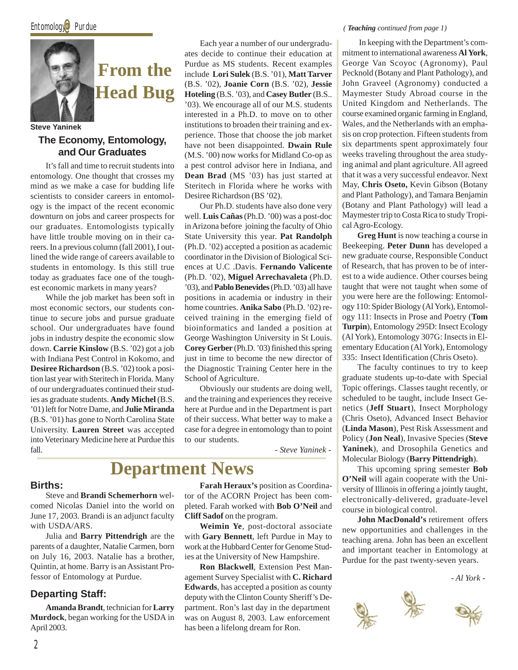

**Steve Yaninek**

### **The Economy, Entomology, and Our Graduates**

It's fall and time to recruit students into entomology. One thought that crosses my mind as we make a case for budding life scientists to consider careers in entomology is the impact of the recent economic downturn on jobs and career prospects for our graduates. Entomologists typically have little trouble moving on in their careers. In a previous column (fall 2001), I outlined the wide range of careers available to students in entomology. Is this still true today as graduates face one of the toughest economic markets in many years?

While the job market has been soft in most economic sectors, our students continue to secure jobs and pursue graduate school. Our undergraduates have found jobs in industry despite the economic slow down. **Carrie Kinslow** (B.S. '02) got a job with Indiana Pest Control in Kokomo, and **Desiree Richardson** (B.S. '02) took a position last year with Steritech in Florida. Many of our undergraduates continued their studies as graduate students. **Andy Michel** (B.S. '01) left for Notre Dame, and **Julie Miranda** (B.S. '01) has gone to North Carolina State University. **Lauren Street** was accepted into Veterinary Medicine here at Purdue this fall.

Each year a number of our undergraduates decide to continue their education at Purdue as MS students. Recent examples include **Lori Sulek** (B.S. '01), **Matt Tarver** (B.S. '02), **Joanie Corn** (B.S. '02), **Jessie Hoteling** (B.S. '03), and **Casey Butler** (B.S.. '03). We encourage all of our M.S. students interested in a Ph.D. to move on to other institutions to broaden their training and experience. Those that choose the job market have not been disappointed. **Dwain Rule** (M.S. '00) now works for Midland Co-op as a pest control advisor here in Indiana, and **Dean Brad** (MS '03) has just started at Steritech in Florida where he works with Desiree Richardson (BS '02).

Our Ph.D. students have also done very well. **Luis Cañas** (Ph.D. '00) was a post-doc in Arizona before joining the faculty of Ohio State University this year. **Pat Randolph** (Ph.D. '02) accepted a position as academic coordinator in the Division of Biological Sciences at U.C .Davis. **Fernando Valicente** (Ph.D. '02), **Miguel Arrechavaleta** (Ph.D. '03), and **Pablo Benevides** (Ph.D. '03) all have positions in academia or industry in their home countries. **Anika Sabo** (Ph.D. '02) received training in the emerging field of bioinformatics and landed a position at George Washington University in St Louis. **Corey Gerber** (Ph.D. '03) finished this spring just in time to become the new director of the Diagnostic Training Center here in the School of Agriculture.

Obviously our students are doing well, and the training and experiences they receive here at Purdue and in the Department is part of their success. What better way to make a case for a degree in entomology than to point to our students.

*- Steve Yaninek -*

### **Births:**

Steve and **Brandi Schemerhorn** welcomed Nicolas Daniel into the world on June 17, 2003. Brandi is an adjunct faculty with USDA/ARS.

Julia and **Barry Pittendrigh** are the parents of a daughter, Natalie Carmen, born on July 16, 2003. Natalie has a brother, Quintin, at home. Barry is an Assistant Professor of Entomology at Purdue.

### **Departing Staff:**

**Amanda Brandt**, technician for **Larry Murdock**, began working for the USDA in April 2003.

**Farah Heraux's** position as Coordinator of the ACORN Project has been completed. Farah worked with **Bob O'Neil** and **Cliff Sadof** on the program.

**Department News**

**Weimin Ye**, post-doctoral associate with **Gary Bennett**, left Purdue in May to work at the Hubbard Center for Genome Studies at the University of New Hampshire.

**Ron Blackwell**, Extension Pest Management Survey Specialist with **C. Richard Edwards**, has accepted a position as county deputy with the Clinton County Sheriff's Department. Ron's last day in the department was on August 8, 2003. Law enforcement has been a lifelong dream for Ron.

#### *( Teaching continued from page 1)*

 In keeping with the Department's commitment to international awareness **Al York**, George Van Scoyoc (Agronomy), Paul Pecknold (Botany and Plant Pathology), and John Graveel (Agronomy) conducted a Maymester Study Abroad course in the United Kingdom and Netherlands. The course examined organic farming in England, Wales, and the Netherlands with an emphasis on crop protection. Fifteen students from six departments spent approximately four weeks traveling throughout the area studying animal and plant agriculture. All agreed that it was a very successful endeavor. Next May, **Chris Oseto,** Kevin Gibson (Botany and Plant Pathology), and Tamara Benjamin (Botany and Plant Pathology) will lead a Maymester trip to Costa Rica to study Tropical Agro-Ecology.

**Greg Hunt** is now teaching a course in Beekeeping. **Peter Dunn** has developed a new graduate course, Responsible Conduct of Research, that has proven to be of interest to a wide audience. Other courses being taught that were not taught when some of you were here are the following: Entomology 110: Spider Biology (Al York), Entomology 111: Insects in Prose and Poetry (**Tom Turpin**), Entomology 295D: Insect Ecology (Al York), Entomology 307G: Insects in Elementary Education (Al York), Entomology 335: Insect Identification (Chris Oseto).

The faculty continues to try to keep graduate students up-to-date with Special Topic offerings. Classes taught recently, or scheduled to be taught, include Insect Genetics (**Jeff Stuart**), Insect Morphology (Chris Oseto), Advanced Insect Behavior (**Linda Mason**), Pest Risk Assessment and Policy (**Jon Neal**), Invasive Species (**Steve Yaninek**), and Drosophila Genetics and Molecular Biology (**Barry Pittendrigh**).

This upcoming spring semester **Bob O'Neil** will again cooperate with the University of Illinois in offering a jointly taught, electronically-delivered, graduate-level course in biological control.

**John MacDonald's** retirement offers new opportunities and challenges in the teaching arena. John has been an excellent and important teacher in Entomology at Purdue for the past twenty-seven years.

*- Al York -*

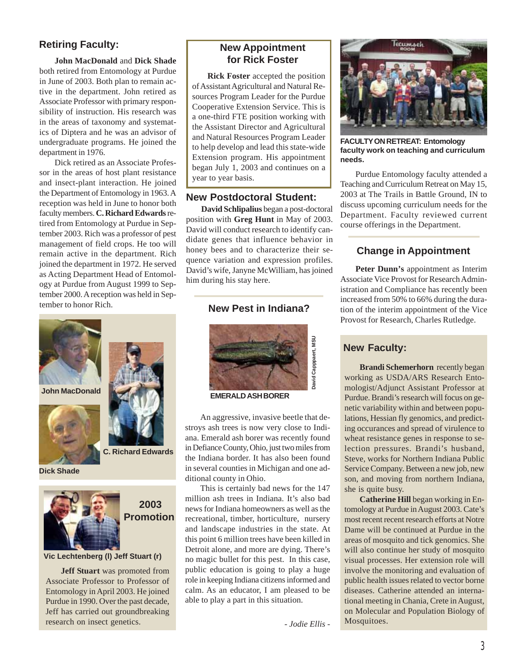### **Retiring Faculty:**

**John MacDonald** and **Dick Shade** both retired from Entomology at Purdue in June of 2003. Both plan to remain active in the department. John retired as Associate Professor with primary responsibility of instruction. His research was in the areas of taxonomy and systematics of Diptera and he was an advisor of undergraduate programs. He joined the department in 1976.

Dick retired as an Associate Professor in the areas of host plant resistance and insect-plant interaction. He joined the Department of Entomology in 1963. A reception was held in June to honor both faculty members. **C. Richard Edwards** retired from Entomology at Purdue in September 2003. Rich was a professor of pest management of field crops. He too will remain active in the department. Rich joined the department in 1972. He served as Acting Department Head of Entomology at Purdue from August 1999 to September 2000. A reception was held in September to honor Rich.



**Dick Shade**



 **2003 Promotion**

#### **Vic Lechtenberg (l) Jeff Stuart (r)**

**Jeff Stuart** was promoted from Associate Professor to Professor of Entomology in April 2003. He joined Purdue in 1990. Over the past decade, Jeff has carried out groundbreaking research on insect genetics.

### **New Appointment for Rick Foster**

**Rick Foster** accepted the position of Assistant Agricultural and Natural Resources Program Leader for the Purdue Cooperative Extension Service. This is a one-third FTE position working with the Assistant Director and Agricultural and Natural Resources Program Leader to help develop and lead this state-wide Extension program. His appointment began July 1, 2003 and continues on a year to year basis.

### **New Postdoctoral Student:**

**David Schlipalius** began a post-doctoral position with **Greg Hunt** in May of 2003. David will conduct research to identify candidate genes that influence behavior in honey bees and to characterize their sequence variation and expression profiles. David's wife, Janyne McWilliam, has joined him during his stay here.

### **New Pest in Indiana?**



**EMERALD ASH BORER**

An aggressive, invasive beetle that destroys ash trees is now very close to Indiana. Emerald ash borer was recently found in Defiance County, Ohio, just two miles from the Indiana border. It has also been found in several counties in Michigan and one additional county in Ohio.

This is certainly bad news for the 147 million ash trees in Indiana. It's also bad news for Indiana homeowners as well as the recreational, timber, horticulture, nursery and landscape industries in the state. At this point 6 million trees have been killed in Detroit alone, and more are dying. There's no magic bullet for this pest. In this case, public education is going to play a huge role in keeping Indiana citizens informed and calm. As an educator, I am pleased to be able to play a part in this situation.

*- Jodie Ellis -*



**FACULTY ON RETREAT: Entomology faculty work on teaching and curriculum needs.**

Purdue Entomology faculty attended a Teaching and Curriculum Retreat on May 15, 2003 at The Trails in Battle Ground, IN to discuss upcoming curriculum needs for the Department. Faculty reviewed current course offerings in the Department.

### **Change in Appointment**

**Peter Dunn's** appointment as Interim Associate Vice Provost for Research Administration and Compliance has recently been increased from 50% to 66% during the duration of the interim appointment of the Vice Provost for Research, Charles Rutledge.

### **New Faculty:**

**Brandi Schemerhorn** recently began working as USDA/ARS Research Entomologist/Adjunct Assistant Professor at Purdue. Brandi's research will focus on genetic variability within and between populations, Hessian fly genomics, and predicting occurances and spread of virulence to wheat resistance genes in response to selection pressures. Brandi's husband, Steve, works for Northern Indiana Public Service Company. Between a new job, new son, and moving from northern Indiana, she is quite busy.

**Catherine Hill** began working in Entomology at Purdue in August 2003. Cate's most recent recent research efforts at Notre Dame will be continued at Purdue in the areas of mosquito and tick genomics. She will also continue her study of mosquito visual processes. Her extension role will involve the monitoring and evaluation of public health issues related to vector borne diseases. Catherine attended an international meeting in Chania, Crete in August, on Molecular and Population Biology of Mosquitoes.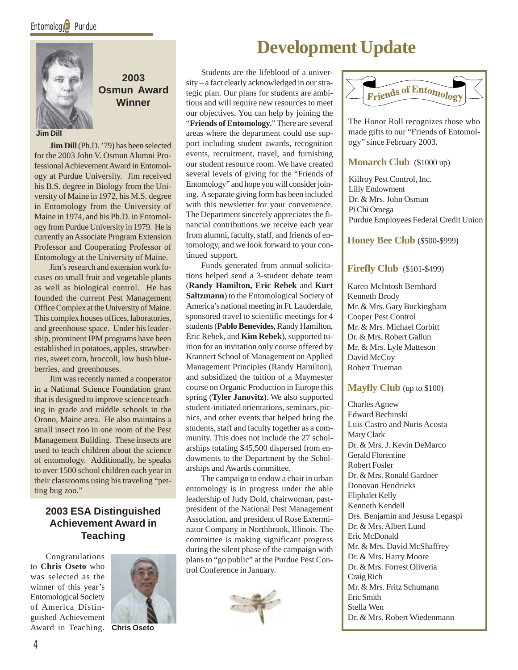

**2003 Osmun Award Winner**

**Jim Dill**

**Jim Dill** (Ph.D. '79) has been selected for the 2003 John V. Osmun Alumni Professional Achievement Award in Entomology at Purdue University. Jim received his B.S. degree in Biology from the University of Maine in 1972, his M.S. degree in Entomology from the University of Maine in 1974, and his Ph.D. in Entomology from Purdue University in 1979. He is currently an Associate Program Extension Professor and Cooperating Professor of Entomology at the University of Maine.

Jim's research and extension work focuses on small fruit and vegetable plants as well as biological control. He has founded the current Pest Management Office Complex at the University of Maine. This complex houses offices, laboratories, and greenhouse space. Under his leadership, prominent IPM programs have been established in potatoes, apples, strawberries, sweet corn, broccoli, low bush blueberries, and greenhouses.

Jim was recently named a cooperator in a National Science Foundation grant that is designed to improve science teaching in grade and middle schools in the Orono, Maine area. He also maintains a small insect zoo in one room of the Pest Management Building. These insects are used to teach children about the science of entomology. Additionally, he speaks to over 1500 school children each year in their classrooms using his traveling "petting bug zoo."

### **2003 ESA Distinguished Achievement Award in Teaching**

Congratulations to **Chris Oseto** who was selected as the winner of this year's Entomological Society of America Distinguished Achievement Award in Teaching. **Chris Oseto**



### **Development Update**

Students are the lifeblood of a university – a fact clearly acknowledged in our strategic plan. Our plans for students are ambitious and will require new resources to meet our objectives. You can help by joining the "**Friends of Entomology.**" There are several areas where the department could use support including student awards, recognition events, recruitment, travel, and furnishing our student resource room. We have created several levels of giving for the "Friends of Entomology" and hope you will consider joining. A separate giving form has been included with this newsletter for your convenience. The Department sincerely appreciates the financial contributions we receive each year from alumni, faculty, staff, and friends of entomology, and we look forward to your continued support.

Funds generated from annual solicitations helped send a 3-student debate team (**Randy Hamilton, Eric Rebek** and **Kurt Saltzmann**) to the Entomological Society of America's national meeting in Ft. Lauderdale, sponsored travel to scientific meetings for 4 students (**Pablo Benevides**, Randy Hamilton, Eric Rebek, and **Kim Rebek**), supported tuition for an invitation only course offered by Krannert School of Management on Applied Management Principles (Randy Hamilton), and subsidized the tuition of a Maymester course on Organic Production in Europe this spring (**Tyler Janovitz**). We also supported student-initiated orientations, seminars, picnics, and other events that helped bring the students, staff and faculty together as a community. This does not include the 27 scholarships totaling \$45,500 dispersed from endowments to the Department by the Scholarships and Awards committee.

The campaign to endow a chair in urban entomology is in progress under the able leadership of Judy Dold, chairwoman, pastpresident of the National Pest Management Association, and president of Rose Exterminator Company in Northbrook, Illinois. The committee is making significant progress during the silent phase of the campaign with plans to "go public" at the Purdue Pest Control Conference in January.





The Honor Roll recognizes those who made gifts to our "Friends of Entomology" since February 2003.

#### **Monarch Club** (\$1000 up)

Killroy Pest Control, Inc. Lilly Endowment Dr. & Mrs. John Osmun Pi Chi Omega Purdue Employees Federal Credit Union

### **Honey Bee Club** (\$500-\$999)

### **Firefly Club** (\$101-\$499)

Karen McIntosh Bernhard Kenneth Brody Mr. & Mrs. Gary Buckingham Cooper Pest Control Mr. & Mrs. Michael Corbitt Dr. & Mrs. Robert Gallun Mr. & Mrs. Lyle Matteson David McCoy Robert Trueman

#### **Mayfly Club** (up to \$100)

Charles Agnew Edward Bechinski Luis Castro and Nuris Acosta Mary Clark Dr. & Mrs. J. Kevin DeMarco Gerald Florentine Robert Fosler Dr. & Mrs. Ronald Gardner Donovan Hendricks Eliphalet Kelly Kenneth Kendell Drs. Benjamin and Jesusa Legaspi Dr. & Mrs. Albert Lund Eric McDonald Mr. & Mrs. David McShaffrey Dr. & Mrs. Harry Moore Dr. & Mrs. Forrest Oliveria Craig Rich Mr. & Mrs. Fritz Schumann Eric Smith Stella Wen Dr. & Mrs. Robert Wiedenmann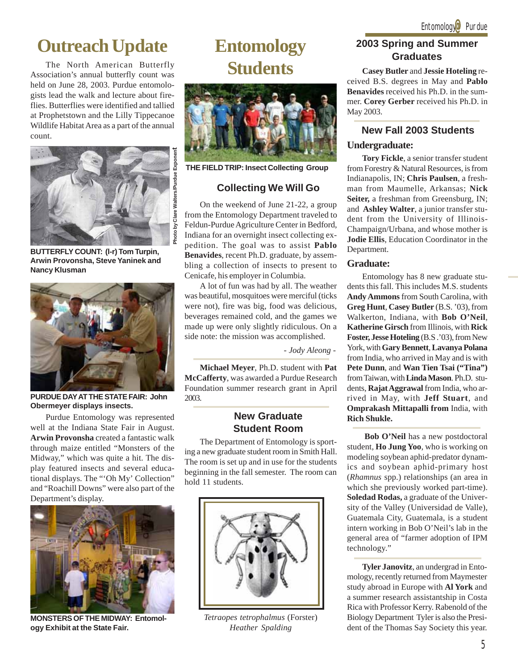### **Outreach Update**

The North American Butterfly Association's annual butterfly count was held on June 28, 2003. Purdue entomologists lead the walk and lecture about fireflies. Butterflies were identified and tallied at Prophetstown and the Lilly Tippecanoe Wildlife Habitat Area as a part of the annual count.



**BUTTERFLY COUNT: (l-r) Tom Turpin, Arwin Provonsha, Steve Yaninek and Nancy Klusman**



**PURDUE DAY AT THE STATE FAIR: John Obermeyer displays insects.**

Purdue Entomology was represented well at the Indiana State Fair in August. **Arwin Provonsha** created a fantastic walk through maize entitled "Monsters of the Midway," which was quite a hit. The display featured insects and several educational displays. The "'Oh My' Collection" and "Roachill Downs" were also part of the Department's display.



**MONSTERS OF THE MIDWAY: Entomology Exhibit at the State Fair.**

### **Entomology Students**



**THE FIELD TRIP: Insect Collecting Group**

### **Collecting We Will Go**

On the weekend of June 21-22, a group from the Entomology Department traveled to Feldun-Purdue Agriculture Center in Bedford, Indiana for an overnight insect collecting expedition. The goal was to assist **Pablo Benavides**, recent Ph.D. graduate, by assembling a collection of insects to present to Cenicafe, his employer in Columbia.

A lot of fun was had by all. The weather was beautiful, mosquitoes were merciful (ticks were not), fire was big, food was delicious, beverages remained cold, and the games we made up were only slightly ridiculous. On a side note: the mission was accomplished.

*- Jody Aleong -*

**Michael Meyer**, Ph.D. student with **Pat McCafferty**, was awarded a Purdue Research Foundation summer research grant in April 2003.

### **New Graduate Student Room**

The Department of Entomology is sporting a new graduate student room in Smith Hall. The room is set up and in use for the students beginning in the fall semester. The room can hold 11 students.



*Tetraopes tetrophalmus* (Forster) *Heather Spalding*

### **2003 Spring and Summer Graduates**

**Casey Butler** and **Jessie Hoteling** received B.S. degrees in May and **Pablo Benavides** received his Ph.D. in the summer. **Corey Gerber** received his Ph.D. in May 2003.

### **New Fall 2003 Students**

### **Undergraduate:**

**Tory Fickle**, a senior transfer student from Forestry & Natural Resources, is from Indianapolis, IN; **Chris Paulsen**, a freshman from Maumelle, Arkansas; **Nick Seiter,** a freshman from Greensburg, IN; and **Ashley Walter**, a junior transfer student from the University of Illinois-Champaign/Urbana, and whose mother is **Jodie Ellis**, Education Coordinator in the Department.

#### **Graduate:**

Entomology has 8 new graduate students this fall. This includes M.S. students **Andy Ammons** from South Carolina, with **Greg Hunt**, **Casey Butler** (B.S. '03), from Walkerton, Indiana, with **Bob O'Neil**, **Katherine Girsch** from Illinois, with **Rick Foster, Jesse Hoteling** (B.S .'03), from New York, with **Gary Bennett**, **Lavanya Polana** from India, who arrived in May and is with **Pete Dunn**, and **Wan Tien Tsai ("Tina")** from Taiwan, with **Linda Mason**. Ph.D. students, **Rajat Aggrawal** from India, who arrived in May, with **Jeff Stuart**, and **Omprakash Mittapalli from** India, with **Rich Shukle.**

**Bob O'Neil** has a new postdoctoral student, **Ho Jung Yoo**, who is working on modeling soybean aphid-predator dynamics and soybean aphid-primary host (*Rhamnus* spp.) relationships (an area in which she previously worked part-time). **Soledad Rodas,** a graduate of the University of the Valley (Universidad de Valle), Guatemala City, Guatemala, is a student intern working in Bob O'Neil's lab in the general area of "farmer adoption of IPM technology."

**Tyler Janovitz**, an undergrad in Entomology, recently returned from Maymester study abroad in Europe with **Al York** and a summer research assistantship in Costa Rica with Professor Kerry. Rabenold of the Biology Department Tyler is also the President of the Thomas Say Society this year.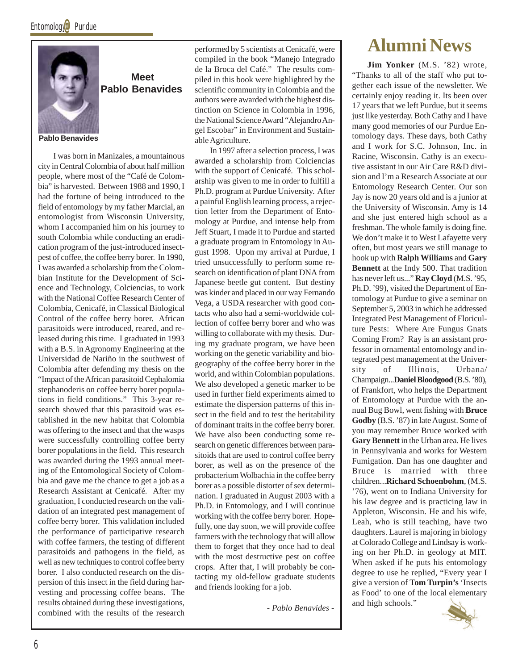

### **Meet Pablo Benavides**

**Pablo Benavides**

I was born in Manizales, a mountainous city in Central Colombia of about half million people, where most of the "Café de Colombia" is harvested. Between 1988 and 1990, I had the fortune of being introduced to the field of entomology by my father Marcial, an entomologist from Wisconsin University, whom I accompanied him on his journey to south Colombia while conducting an eradication program of the just-introduced insectpest of coffee, the coffee berry borer. In 1990, I was awarded a scholarship from the Colombian Institute for the Development of Science and Technology, Colciencias, to work with the National Coffee Research Center of Colombia, Cenicafé, in Classical Biological Control of the coffee berry borer. African parasitoids were introduced, reared, and released during this time. I graduated in 1993 with a B.S. in Agronomy Engineering at the Universidad de Nariño in the southwest of Colombia after defending my thesis on the "Impact of the African parasitoid Cephalomia stephanoderis on coffee berry borer populations in field conditions." This 3-year research showed that this parasitoid was established in the new habitat that Colombia was offering to the insect and that the wasps were successfully controlling coffee berry borer populations in the field. This research was awarded during the 1993 annual meeting of the Entomological Society of Colombia and gave me the chance to get a job as a Research Assistant at Cenicafé. After my graduation, I conducted research on the validation of an integrated pest management of coffee berry borer. This validation included the performance of participative research with coffee farmers, the testing of different parasitoids and pathogens in the field, as well as new techniques to control coffee berry borer. I also conducted research on the dispersion of this insect in the field during harvesting and processing coffee beans. The results obtained during these investigations, combined with the results of the research performed by 5 scientists at Cenicafé, were compiled in the book "Manejo Integrado de la Broca del Café." The results compiled in this book were highlighted by the scientific community in Colombia and the authors were awarded with the highest distinction on Science in Colombia in 1996, the National Science Award "Alejandro Angel Escobar" in Environment and Sustainable Agriculture.

In 1997 after a selection process, I was awarded a scholarship from Colciencias with the support of Cenicafé. This scholarship was given to me in order to fulfill a Ph.D. program at Purdue University. After a painful English learning process, a rejection letter from the Department of Entomology at Purdue, and intense help from Jeff Stuart, I made it to Purdue and started a graduate program in Entomology in August 1998. Upon my arrival at Purdue, I tried unsuccessfully to perform some research on identification of plant DNA from Japanese beetle gut content. But destiny was kinder and placed in our way Fernando Vega, a USDA researcher with good contacts who also had a semi-worldwide collection of coffee berry borer and who was willing to collaborate with my thesis. During my graduate program, we have been working on the genetic variability and biogeography of the coffee berry borer in the world, and within Colombian populations. We also developed a genetic marker to be used in further field experiments aimed to estimate the dispersion patterns of this insect in the field and to test the heritability of dominant traits in the coffee berry borer. We have also been conducting some research on genetic differences between parasitoids that are used to control coffee berry borer, as well as on the presence of the probacterium Wolbachia in the coffee berry borer as a possible distorter of sex determination. I graduated in August 2003 with a Ph.D. in Entomology, and I will continue working with the coffee berry borer. Hopefully, one day soon, we will provide coffee farmers with the technology that will allow them to forget that they once had to deal with the most destructive pest on coffee crops. After that, I will probably be contacting my old-fellow graduate students and friends looking for a job.

*- Pablo Benavides -*

### **Alumni News**

**Jim Yonker** (M.S. '82) wrote, "Thanks to all of the staff who put together each issue of the newsletter. We certainly enjoy reading it. Its been over 17 years that we left Purdue, but it seems just like yesterday. Both Cathy and I have many good memories of our Purdue Entomology days. These days, both Cathy and I work for S.C. Johnson, Inc. in Racine, Wisconsin. Cathy is an executive assistant in our Air Care R&D division and I'm a Research Associate at our Entomology Research Center. Our son Jay is now 20 years old and is a junior at the University of Wisconsin. Amy is 14 and she just entered high school as a freshman. The whole family is doing fine. We don't make it to West Lafayette very often, but most years we still manage to hook up with **Ralph Williams** and **Gary Bennett** at the Indy 500. That tradition has never left us..." **Ray Cloyd** (M.S. '95, Ph.D. '99), visited the Department of Entomology at Purdue to give a seminar on September 5, 2003 in which he addressed Integrated Pest Management of Floriculture Pests: Where Are Fungus Gnats Coming From? Ray is an assistant professor in ornamental entomology and integrated pest management at the University of Illinois, Urbana/ Champaign...**Daniel Bloodgood** (B.S. '80), of Frankfort, who helps the Department of Entomology at Purdue with the annual Bug Bowl, went fishing with **Bruce Godby** (B.S. '87) in late August. Some of you may remember Bruce worked with **Gary Bennett** in the Urban area. He lives in Pennsylvania and works for Western Fumigation. Dan has one daughter and Bruce is married with three children...**Richard Schoenbohm**, (M.S. '76), went on to Indiana University for his law degree and is practicing law in Appleton, Wisconsin. He and his wife, Leah, who is still teaching, have two daughters. Laurel is majoring in biology at Colorado College and Lindsay is working on her Ph.D. in geology at MIT. When asked if he puts his entomology degree to use he replied, "Every year I give a version of **Tom Turpin's** 'Insects as Food' to one of the local elementary and high schools."

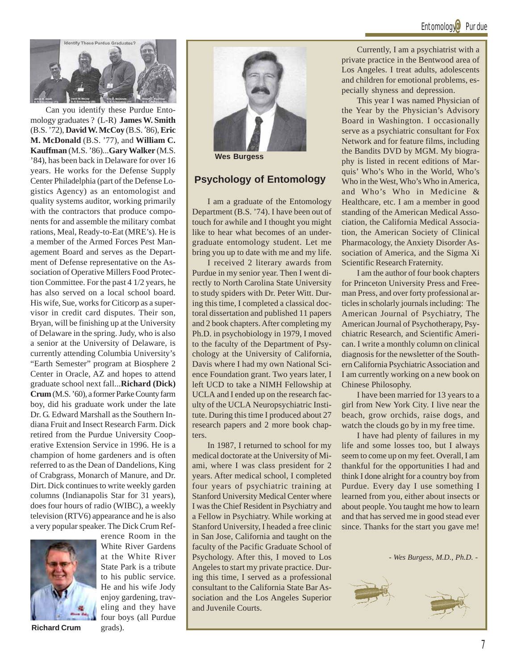### Entomology<sup>@</sup> Purdue



Can you identify these Purdue Entomology graduates ? (L-R) **James W. Smith** (B.S. '72), **David W. McCoy** (B.S. '86), **Eric M. McDonald** (B.S. '77), and **William C. Kauffman** (M.S. '86)...**Gary Walker** (M.S. '84), has been back in Delaware for over 16 years. He works for the Defense Supply Center Philadelphia (part of the Defense Logistics Agency) as an entomologist and quality systems auditor, working primarily with the contractors that produce components for and assemble the military combat rations, Meal, Ready-to-Eat (MRE's). He is a member of the Armed Forces Pest Management Board and serves as the Department of Defense representative on the Association of Operative Millers Food Protection Committee. For the past 4 1/2 years, he has also served on a local school board. His wife, Sue, works for Citicorp as a supervisor in credit card disputes. Their son, Bryan, will be finishing up at the University of Delaware in the spring. Judy, who is also a senior at the University of Delaware, is currently attending Columbia University's "Earth Semester" program at Biosphere 2 Center in Oracle, AZ and hopes to attend graduate school next fall...**Richard (Dick) Crum** (M.S. '60), a former Parke County farm boy, did his graduate work under the late Dr. G. Edward Marshall as the Southern Indiana Fruit and Insect Research Farm. Dick retired from the Purdue University Cooperative Extension Service in 1996. He is a champion of home gardeners and is often referred to as the Dean of Dandelions, King of Crabgrass, Monarch of Manure, and Dr. Dirt. Dick continues to write weekly garden columns (Indianapolis Star for 31 years), does four hours of radio (WIBC), a weekly television (RTV6) appearance and he is also a very popular speaker. The Dick Crum Ref-



**Richard Crum** grads).

White River Gardens at the White River State Park is a tribute to his public service. He and his wife Jody enjoy gardening, traveling and they have four boys (all Purdue

erence Room in the



**Wes Burgess**

### **Psychology of Entomology**

I am a graduate of the Entomology Department (B.S. '74). I have been out of touch for awhile and I thought you might like to hear what becomes of an undergraduate entomology student. Let me bring you up to date with me and my life.

I received 2 literary awards from Purdue in my senior year. Then I went directly to North Carolina State University to study spiders with Dr. Peter Witt. During this time, I completed a classical doctoral dissertation and published 11 papers and 2 book chapters. After completing my Ph.D. in psychobiology in 1979, I moved to the faculty of the Department of Psychology at the University of California, Davis where I had my own National Science Foundation grant. Two years later, I left UCD to take a NIMH Fellowship at UCLA and I ended up on the research faculty of the UCLA Neuropsychiatric Institute. During this time I produced about 27 research papers and 2 more book chapters.

In 1987, I returned to school for my medical doctorate at the University of Miami, where I was class president for 2 years. After medical school, I completed four years of psychiatric training at Stanford University Medical Center where I was the Chief Resident in Psychiatry and a Fellow in Psychiatry. While working at Stanford University, I headed a free clinic in San Jose, California and taught on the faculty of the Pacific Graduate School of Psychology. After this, I moved to Los Angeles to start my private practice. During this time, I served as a professional consultant to the California State Bar Association and the Los Angeles Superior and Juvenile Courts.

Currently, I am a psychiatrist with a private practice in the Bentwood area of Los Angeles. I treat adults, adolescents and children for emotional problems, especially shyness and depression.

This year I was named Physician of the Year by the Physician's Advisory Board in Washington. I occasionally serve as a psychiatric consultant for Fox Network and for feature films, including the Bandits DVD by MGM. My biography is listed in recent editions of Marquis' Who's Who in the World, Who's Who in the West, Who's Who in America, and Who's Who in Medicine & Healthcare, etc. I am a member in good standing of the American Medical Association, the California Medical Association, the American Society of Clinical Pharmacology, the Anxiety Disorder Association of America, and the Sigma Xi Scientific Research Fraternity.

I am the author of four book chapters for Princeton University Press and Freeman Press, and over forty professional articles in scholarly journals including: The American Journal of Psychiatry, The American Journal of Psychotherapy, Psychiatric Research, and Scientific American. I write a monthly column on clinical diagnosis for the newsletter of the Southern California Psychiatric Association and I am currently working on a new book on Chinese Philosophy.

I have been married for 13 years to a girl from New York City. I live near the beach, grow orchids, raise dogs, and watch the clouds go by in my free time.

I have had plenty of failures in my life and some losses too, but I always seem to come up on my feet. Overall, I am thankful for the opportunities I had and think I done alright for a country boy from Purdue. Every day I use something I learned from you, either about insects or about people. You taught me how to learn and that has served me in good stead ever since. Thanks for the start you gave me!

*- Wes Burgess, M.D., Ph.D. -*